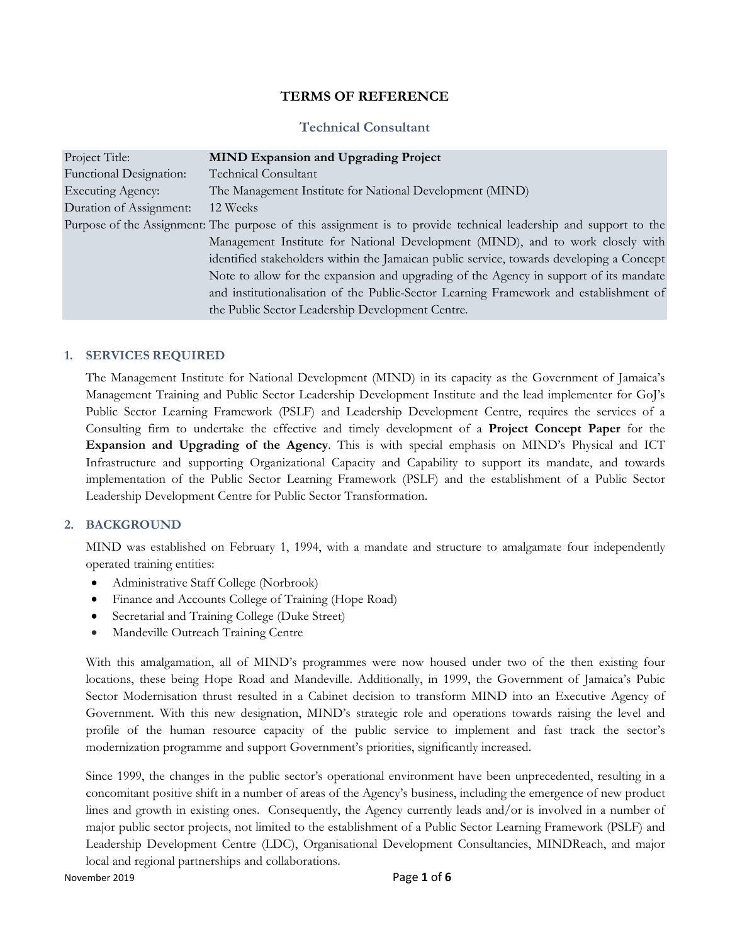### **TERMS OF REFERENCE**

### **Technical Consultant**

| Project Title:                 | <b>MIND Expansion and Upgrading Project</b>                                                                     |  |  |  |
|--------------------------------|-----------------------------------------------------------------------------------------------------------------|--|--|--|
| <b>Functional Designation:</b> | <b>Technical Consultant</b>                                                                                     |  |  |  |
| <b>Executing Agency:</b>       | The Management Institute for National Development (MIND)                                                        |  |  |  |
| Duration of Assignment:        | 12 Weeks                                                                                                        |  |  |  |
|                                | Purpose of the Assignment: The purpose of this assignment is to provide technical leadership and support to the |  |  |  |
|                                | Management Institute for National Development (MIND), and to work closely with                                  |  |  |  |
|                                | identified stakeholders within the Jamaican public service, towards developing a Concept                        |  |  |  |
|                                | Note to allow for the expansion and upgrading of the Agency in support of its mandate                           |  |  |  |
|                                | and institutionalisation of the Public-Sector Learning Framework and establishment of                           |  |  |  |
|                                | the Public Sector Leadership Development Centre.                                                                |  |  |  |

#### **1. SERVICES REQUIRED**

The Management Institute for National Development (MIND) in its capacity as the Government of Jamaica's Management Training and Public Sector Leadership Development Institute and the lead implementer for GoJ's Public Sector Learning Framework (PSLF) and Leadership Development Centre, requires the services of a Consulting firm to undertake the effective and timely development of a **Project Concept Paper** for the **Expansion and Upgrading of the Agency**. This is with special emphasis on MIND's Physical and ICT Infrastructure and supporting Organizational Capacity and Capability to support its mandate, and towards implementation of the Public Sector Learning Framework (PSLF) and the establishment of a Public Sector Leadership Development Centre for Public Sector Transformation.

### **2. BACKGROUND**

MIND was established on February 1, 1994, with a mandate and structure to amalgamate four independently operated training entities:

- Administrative Staff College (Norbrook)
- Finance and Accounts College of Training (Hope Road)
- Secretarial and Training College (Duke Street)
- Mandeville Outreach Training Centre

With this amalgamation, all of MIND's programmes were now housed under two of the then existing four locations, these being Hope Road and Mandeville. Additionally, in 1999, the Government of Jamaica's Pubic Sector Modernisation thrust resulted in a Cabinet decision to transform MIND into an Executive Agency of Government. With this new designation, MIND's strategic role and operations towards raising the level and profile of the human resource capacity of the public service to implement and fast track the sector's modernization programme and support Government's priorities, significantly increased.

Since 1999, the changes in the public sector's operational environment have been unprecedented, resulting in a concomitant positive shift in a number of areas of the Agency's business, including the emergence of new product lines and growth in existing ones. Consequently, the Agency currently leads and/or is involved in a number of major public sector projects, not limited to the establishment of a Public Sector Learning Framework (PSLF) and Leadership Development Centre (LDC), Organisational Development Consultancies, MINDReach, and major local and regional partnerships and collaborations.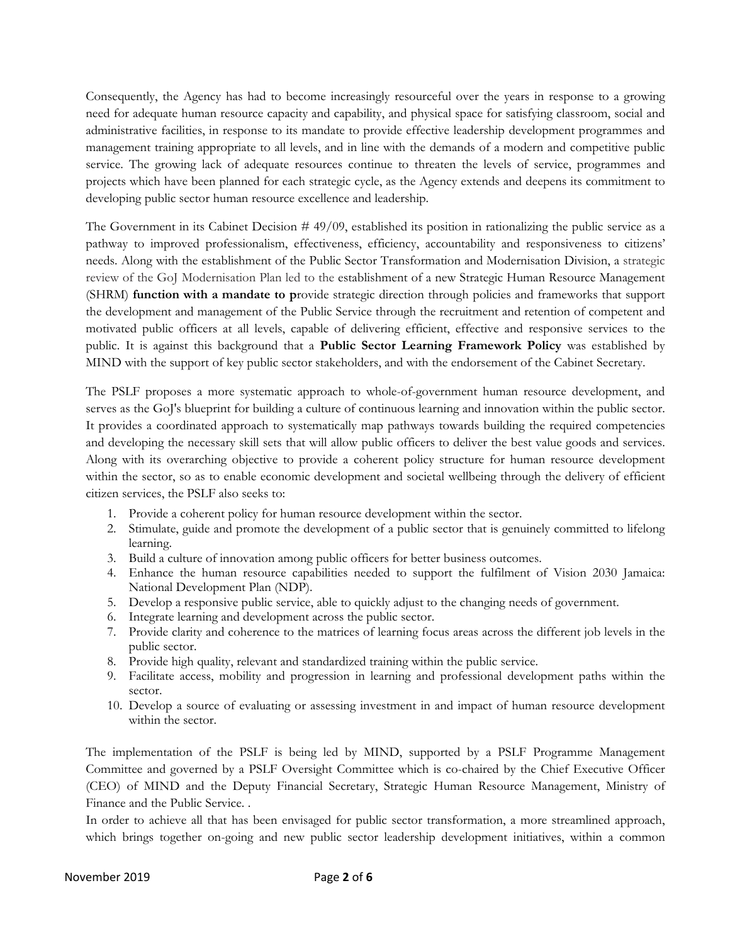Consequently, the Agency has had to become increasingly resourceful over the years in response to a growing need for adequate human resource capacity and capability, and physical space for satisfying classroom, social and administrative facilities, in response to its mandate to provide effective leadership development programmes and management training appropriate to all levels, and in line with the demands of a modern and competitive public service. The growing lack of adequate resources continue to threaten the levels of service, programmes and projects which have been planned for each strategic cycle, as the Agency extends and deepens its commitment to developing public sector human resource excellence and leadership.

The Government in its Cabinet Decision  $#49/09$ , established its position in rationalizing the public service as a pathway to improved professionalism, effectiveness, efficiency, accountability and responsiveness to citizens' needs. Along with the establishment of the Public Sector Transformation and Modernisation Division, a strategic review of the GoJ Modernisation Plan led to the establishment of a new Strategic Human Resource Management (SHRM) **function with a mandate to p**rovide strategic direction through policies and frameworks that support the development and management of the Public Service through the recruitment and retention of competent and motivated public officers at all levels, capable of delivering efficient, effective and responsive services to the public. It is against this background that a **Public Sector Learning Framework Policy** was established by MIND with the support of key public sector stakeholders, and with the endorsement of the Cabinet Secretary.

The PSLF proposes a more systematic approach to whole-of-government human resource development, and serves as the GoJ's blueprint for building a culture of continuous learning and innovation within the public sector. It provides a coordinated approach to systematically map pathways towards building the required competencies and developing the necessary skill sets that will allow public officers to deliver the best value goods and services. Along with its overarching objective to provide a coherent policy structure for human resource development within the sector, so as to enable economic development and societal wellbeing through the delivery of efficient citizen services, the PSLF also seeks to:

- 1. Provide a coherent policy for human resource development within the sector.
- 2. Stimulate, guide and promote the development of a public sector that is genuinely committed to lifelong learning.
- 3. Build a culture of innovation among public officers for better business outcomes.
- 4. Enhance the human resource capabilities needed to support the fulfilment of Vision 2030 Jamaica: National Development Plan (NDP).
- 5. Develop a responsive public service, able to quickly adjust to the changing needs of government.
- 6. Integrate learning and development across the public sector.
- 7. Provide clarity and coherence to the matrices of learning focus areas across the different job levels in the public sector.
- 8. Provide high quality, relevant and standardized training within the public service.
- 9. Facilitate access, mobility and progression in learning and professional development paths within the sector.
- 10. Develop a source of evaluating or assessing investment in and impact of human resource development within the sector.

The implementation of the PSLF is being led by MIND, supported by a PSLF Programme Management Committee and governed by a PSLF Oversight Committee which is co-chaired by the Chief Executive Officer (CEO) of MIND and the Deputy Financial Secretary, Strategic Human Resource Management, Ministry of Finance and the Public Service. .

In order to achieve all that has been envisaged for public sector transformation, a more streamlined approach, which brings together on-going and new public sector leadership development initiatives, within a common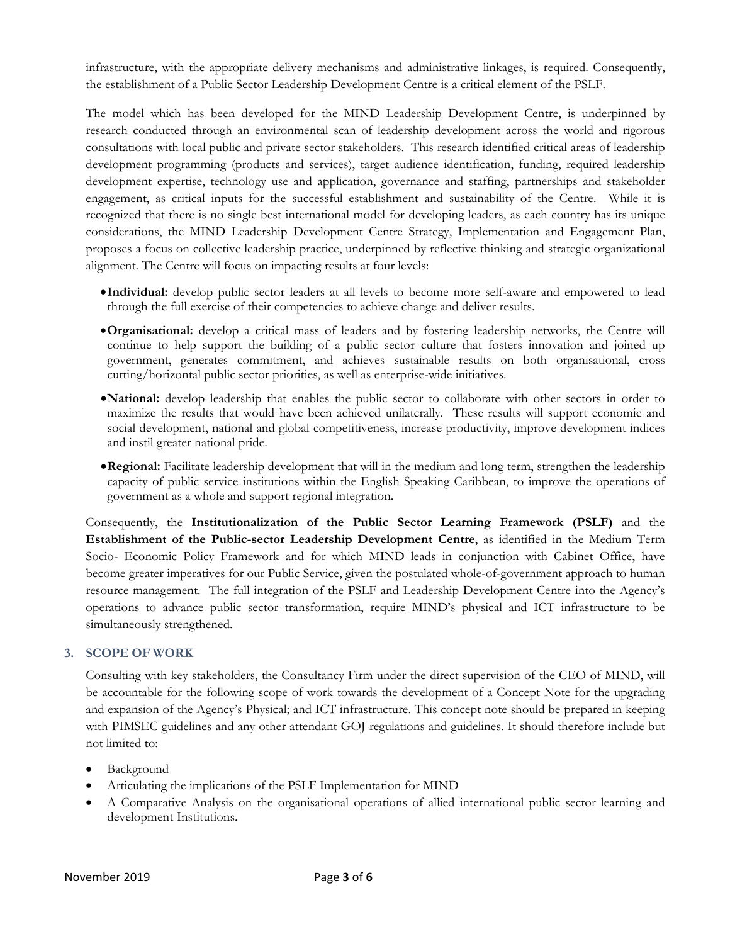infrastructure, with the appropriate delivery mechanisms and administrative linkages, is required. Consequently, the establishment of a Public Sector Leadership Development Centre is a critical element of the PSLF.

The model which has been developed for the MIND Leadership Development Centre, is underpinned by research conducted through an environmental scan of leadership development across the world and rigorous consultations with local public and private sector stakeholders. This research identified critical areas of leadership development programming (products and services), target audience identification, funding, required leadership development expertise, technology use and application, governance and staffing, partnerships and stakeholder engagement, as critical inputs for the successful establishment and sustainability of the Centre. While it is recognized that there is no single best international model for developing leaders, as each country has its unique considerations, the MIND Leadership Development Centre Strategy, Implementation and Engagement Plan, proposes a focus on collective leadership practice, underpinned by reflective thinking and strategic organizational alignment. The Centre will focus on impacting results at four levels:

- **Individual:** develop public sector leaders at all levels to become more self-aware and empowered to lead through the full exercise of their competencies to achieve change and deliver results.
- **Organisational:** develop a critical mass of leaders and by fostering leadership networks, the Centre will continue to help support the building of a public sector culture that fosters innovation and joined up government, generates commitment, and achieves sustainable results on both organisational, cross cutting/horizontal public sector priorities, as well as enterprise-wide initiatives.
- **National:** develop leadership that enables the public sector to collaborate with other sectors in order to maximize the results that would have been achieved unilaterally. These results will support economic and social development, national and global competitiveness, increase productivity, improve development indices and instil greater national pride.
- **Regional:** Facilitate leadership development that will in the medium and long term, strengthen the leadership capacity of public service institutions within the English Speaking Caribbean, to improve the operations of government as a whole and support regional integration.

Consequently, the **Institutionalization of the Public Sector Learning Framework (PSLF)** and the **Establishment of the Public-sector Leadership Development Centre**, as identified in the Medium Term Socio- Economic Policy Framework and for which MIND leads in conjunction with Cabinet Office, have become greater imperatives for our Public Service, given the postulated whole-of-government approach to human resource management. The full integration of the PSLF and Leadership Development Centre into the Agency's operations to advance public sector transformation, require MIND's physical and ICT infrastructure to be simultaneously strengthened.

### **3. SCOPE OF WORK**

Consulting with key stakeholders, the Consultancy Firm under the direct supervision of the CEO of MIND, will be accountable for the following scope of work towards the development of a Concept Note for the upgrading and expansion of the Agency's Physical; and ICT infrastructure. This concept note should be prepared in keeping with PIMSEC guidelines and any other attendant GOJ regulations and guidelines. It should therefore include but not limited to:

- Background
- Articulating the implications of the PSLF Implementation for MIND
- A Comparative Analysis on the organisational operations of allied international public sector learning and development Institutions.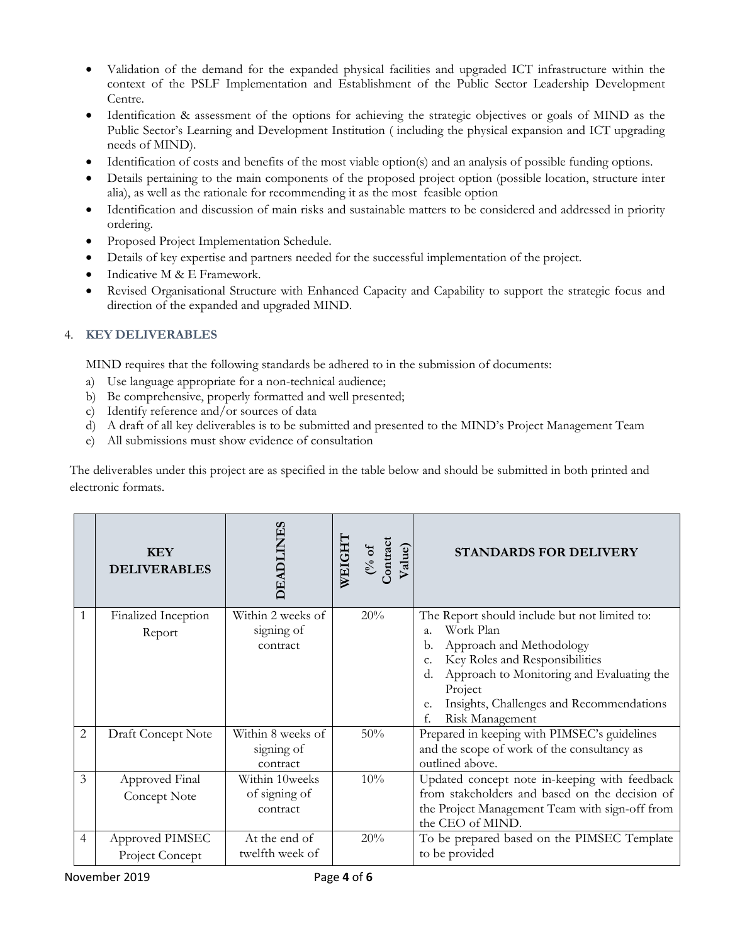- Validation of the demand for the expanded physical facilities and upgraded ICT infrastructure within the context of the PSLF Implementation and Establishment of the Public Sector Leadership Development Centre.
- Identification & assessment of the options for achieving the strategic objectives or goals of MIND as the Public Sector's Learning and Development Institution ( including the physical expansion and ICT upgrading needs of MIND).
- Identification of costs and benefits of the most viable option(s) and an analysis of possible funding options.
- Details pertaining to the main components of the proposed project option (possible location, structure inter alia), as well as the rationale for recommending it as the most feasible option
- Identification and discussion of main risks and sustainable matters to be considered and addressed in priority ordering.
- Proposed Project Implementation Schedule.
- Details of key expertise and partners needed for the successful implementation of the project.
- Indicative M & E Framework.
- Revised Organisational Structure with Enhanced Capacity and Capability to support the strategic focus and direction of the expanded and upgraded MIND.

# 4. **KEY DELIVERABLES**

MIND requires that the following standards be adhered to in the submission of documents:

- a) Use language appropriate for a non-technical audience;
- b) Be comprehensive, properly formatted and well presented;
- c) Identify reference and/or sources of data
- d) A draft of all key deliverables is to be submitted and presented to the MIND's Project Management Team
- e) All submissions must show evidence of consultation

The deliverables under this project are as specified in the table below and should be submitted in both printed and electronic formats.

|                | <b>KEY</b><br><b>DELIVERABLES</b>  | <b>DEADLINES</b>                            | <b>WEIGHT</b><br>$\frac{(9/6 \text{ of } )}{\text{Contract}}$<br>Value) | <b>STANDARDS FOR DELIVERY</b>                                                                                                                                                                                                                                                                     |
|----------------|------------------------------------|---------------------------------------------|-------------------------------------------------------------------------|---------------------------------------------------------------------------------------------------------------------------------------------------------------------------------------------------------------------------------------------------------------------------------------------------|
|                | Finalized Inception<br>Report      | Within 2 weeks of<br>signing of<br>contract | 20%                                                                     | The Report should include but not limited to:<br>Work Plan<br>$\overline{a}$ .<br>Approach and Methodology<br>b.<br>Key Roles and Responsibilities<br>c.<br>Approach to Monitoring and Evaluating the<br>d.<br>Project<br>Insights, Challenges and Recommendations<br>e.<br>Risk Management<br>f. |
| $\overline{2}$ | Draft Concept Note                 | Within 8 weeks of<br>signing of<br>contract | 50%                                                                     | Prepared in keeping with PIMSEC's guidelines<br>and the scope of work of the consultancy as<br>outlined above.                                                                                                                                                                                    |
| 3              | Approved Final<br>Concept Note     | Within 10weeks<br>of signing of<br>contract | 10%                                                                     | Updated concept note in-keeping with feedback<br>from stakeholders and based on the decision of<br>the Project Management Team with sign-off from<br>the CEO of MIND.                                                                                                                             |
| 4              | Approved PIMSEC<br>Project Concept | At the end of<br>twelfth week of            | 20%                                                                     | To be prepared based on the PIMSEC Template<br>to be provided                                                                                                                                                                                                                                     |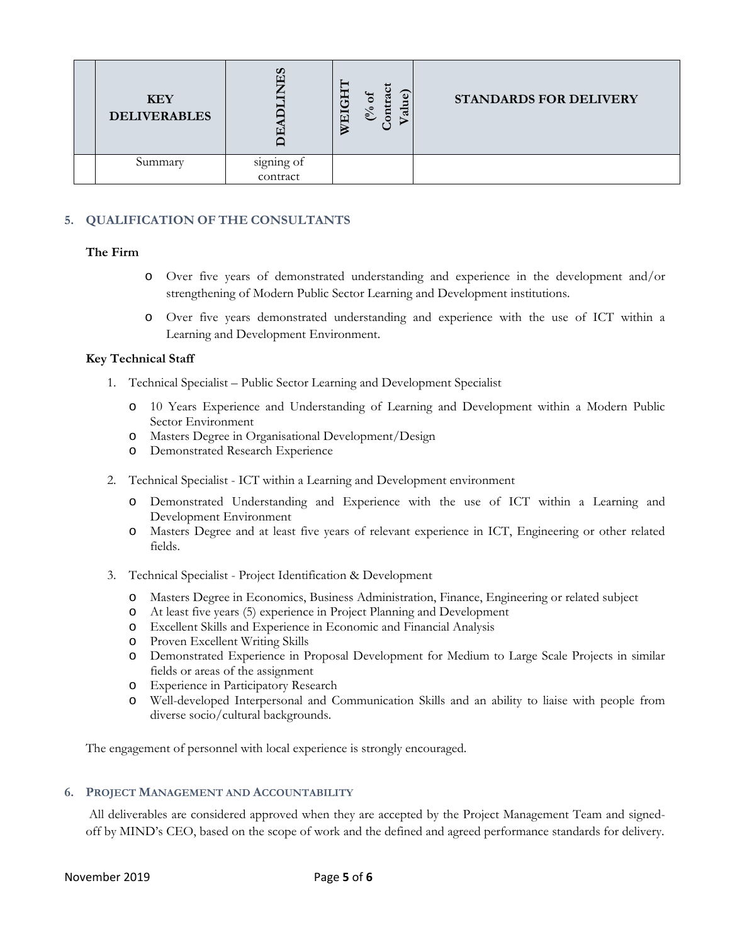| <b>KEY</b><br><b>DELIVERABLES</b> |                        | <b>HO</b><br>ದ<br>៍<br>ನ<br>WEI<br>$\mathsf{e}$ | <b>STANDARDS FOR DELIVERY</b> |
|-----------------------------------|------------------------|-------------------------------------------------|-------------------------------|
| Summary                           | signing of<br>contract |                                                 |                               |

## **5. QUALIFICATION OF THE CONSULTANTS**

### **The Firm**

- o Over five years of demonstrated understanding and experience in the development and/or strengthening of Modern Public Sector Learning and Development institutions.
- o Over five years demonstrated understanding and experience with the use of ICT within a Learning and Development Environment.

### **Key Technical Staff**

- 1. Technical Specialist Public Sector Learning and Development Specialist
	- o 10 Years Experience and Understanding of Learning and Development within a Modern Public Sector Environment
	- o Masters Degree in Organisational Development/Design
	- o Demonstrated Research Experience
- 2. Technical Specialist ICT within a Learning and Development environment
	- o Demonstrated Understanding and Experience with the use of ICT within a Learning and Development Environment
	- o Masters Degree and at least five years of relevant experience in ICT, Engineering or other related fields.
- 3. Technical Specialist Project Identification & Development
	- o Masters Degree in Economics, Business Administration, Finance, Engineering or related subject
	- o At least five years (5) experience in Project Planning and Development
	- o Excellent Skills and Experience in Economic and Financial Analysis
	- o Proven Excellent Writing Skills
	- o Demonstrated Experience in Proposal Development for Medium to Large Scale Projects in similar fields or areas of the assignment
	- o Experience in Participatory Research
	- o Well-developed Interpersonal and Communication Skills and an ability to liaise with people from diverse socio/cultural backgrounds.

The engagement of personnel with local experience is strongly encouraged.

### **6. PROJECT MANAGEMENT AND ACCOUNTABILITY**

 All deliverables are considered approved when they are accepted by the Project Management Team and signedoff by MIND's CEO, based on the scope of work and the defined and agreed performance standards for delivery.